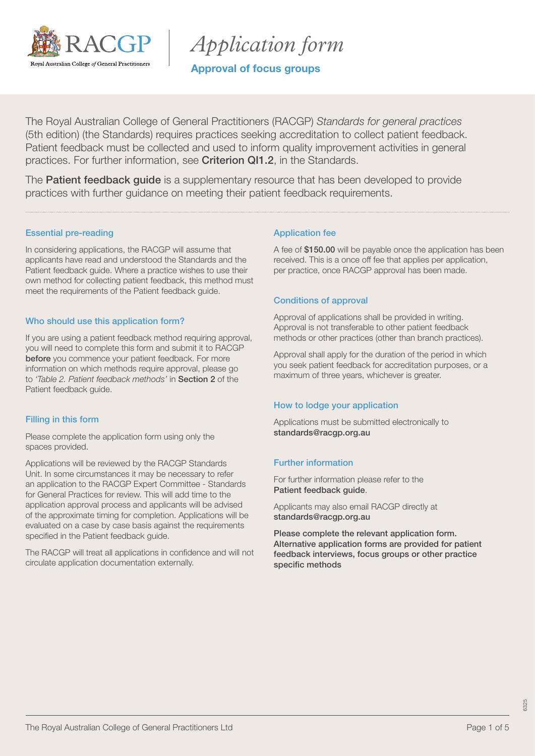

*Application form*

Approval of focus groups

The Royal Australian College of General Practitioners (RACGP) *Standards for general practices* (5th edition) (the Standards) requires practices seeking accreditation to collect patient feedback. Patient feedback must be collected and used to inform quality improvement activities in general practices. For further information, see [Criterion QI1.2](https://www.racgp.org.au/FSDEDEV/media/documents/Running%20a%20practice/Practice%20standards/5th%20edition/Standards-for-general-practice-5th-edition.pdf#page=100), in the Standards.

The **[Patient feedback guide](https://www.racgp.org.au/running-a-practice/practice-standards/standards-5th-edition/patient-feedback-guide)** is a supplementary resource that has been developed to provide practices with further guidance on meeting their patient feedback requirements.

### Essential pre-reading

In considering applications, the RACGP will assume that applicants have read and understood the Standards and the Patient feedback guide. Where a practice wishes to use their own method for collecting patient feedback, this method must meet the requirements of the Patient feedback guide.

### Who should use this application form?

If you are using a patient feedback method requiring approval, you will need to complete this form and submit it to RACGP before you commence your patient feedback. For more information on which methods require approval, please go to *'Table 2. Patient feedback methods'* in [Section 2](https://www.racgp.org.au/FSDEDEV/media/documents/Running%20a%20practice/Practice%20standards/5th%20edition/Patient-feedback-guide.pdf#page=19) of the Patient feedback guide.

### Filling in this form

Please complete the application form using only the spaces provided.

Applications will be reviewed by the RACGP Standards Unit. In some circumstances it may be necessary to refer an application to the RACGP Expert Committee - Standards for General Practices for review. This will add time to the application approval process and applicants will be advised of the approximate timing for completion. Applications will be evaluated on a case by case basis against the requirements specified in the Patient feedback guide.

The RACGP will treat all applications in confidence and will not circulate application documentation externally.

### Application fee

A fee of \$150.00 will be payable once the application has been received. This is a once off fee that applies per application, per practice, once RACGP approval has been made.

### Conditions of approval

Approval of applications shall be provided in writing. Approval is not transferable to other patient feedback methods or other practices (other than branch practices).

Approval shall apply for the duration of the period in which you seek patient feedback for accreditation purposes, or a maximum of three years, whichever is greater.

#### How to lodge your application

Applications must be submitted electronically to [standards@racgp.org.au](mailto:standards%40racgp.org.au?subject=)

### Further information

For further information please refer to the [Patient feedback guide](https://www.racgp.org.au/FSDEDEV/media/documents/Running%20a%20practice/Practice%20standards/5th%20edition/Patient-feedback-guide.pdf).

Applicants may also email RACGP directly at [standards@racgp.org.au](mailto:standards%40racgp.org.au?subject=)

Please complete the relevant application form. Alternative application forms are provided for patient feedback interviews, focus groups or other practice specific methods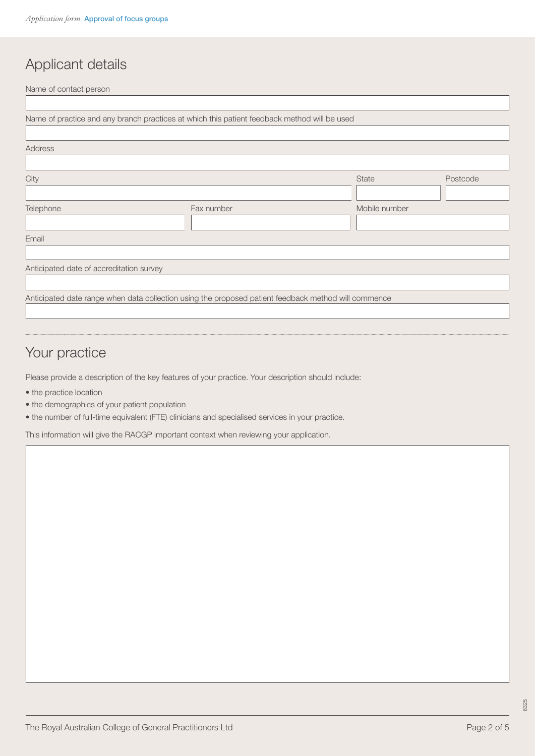# Applicant details

Name of contact person

|                                          | Name of practice and any branch practices at which this patient feedback method will be used         |               |          |
|------------------------------------------|------------------------------------------------------------------------------------------------------|---------------|----------|
|                                          |                                                                                                      |               |          |
| Address                                  |                                                                                                      |               |          |
|                                          |                                                                                                      |               |          |
| City                                     |                                                                                                      | <b>State</b>  | Postcode |
|                                          |                                                                                                      |               |          |
| Telephone                                | Fax number                                                                                           | Mobile number |          |
|                                          |                                                                                                      |               |          |
| Email                                    |                                                                                                      |               |          |
|                                          |                                                                                                      |               |          |
| Anticipated date of accreditation survey |                                                                                                      |               |          |
|                                          |                                                                                                      |               |          |
|                                          | Anticipated date range when data collection using the proposed patient feedback method will commence |               |          |
|                                          |                                                                                                      |               |          |

# Your practice

Please provide a description of the key features of your practice. Your description should include:

- the practice location
- the demographics of your patient population
- the number of full-time equivalent (FTE) clinicians and specialised services in your practice.

This information will give the RACGP important context when reviewing your application.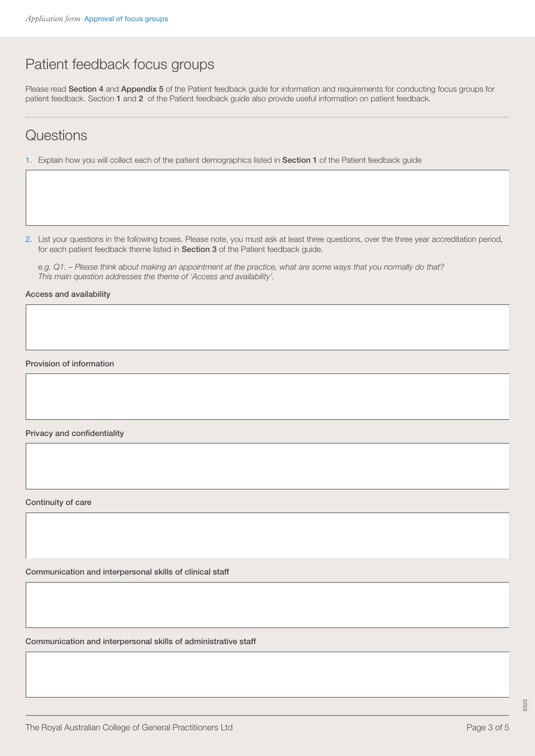## Patient feedback focus groups

Please read [Section 4](https://www.racgp.org.au/FSDEDEV/media/documents/Running%20a%20practice/Practice%20standards/5th%20edition/Patient-feedback-guide.pdf#page=29) and [Appendix 5](https://www.racgp.org.au/FSDEDEV/media/documents/Running%20a%20practice/Practice%20standards/5th%20edition/Patient-feedback-guide.pdf#page=49) of the Patient feedback guide for information and requirements for conducting focus groups for patient feedback. Section [1](https://www.racgp.org.au/FSDEDEV/media/documents/Running%20a%20practice/Practice%20standards/5th%20edition/Patient-feedback-guide.pdf#page=9) and [2](https://www.racgp.org.au/FSDEDEV/media/documents/Running%20a%20practice/Practice%20standards/5th%20edition/Patient-feedback-guide.pdf#page=17) of the Patient feedback guide also provide useful information on patient feedback.

### **Questions**

1. Explain how you will collect each of the patient demographics listed in [Section 1](https://www.racgp.org.au/FSDEDEV/media/documents/Running%20a%20practice/Practice%20standards/5th%20edition/Patient-feedback-guide.pdf#page=13) of the Patient feedback guide

2. List your questions in the following boxes. Please note, you must ask at least three questions, over the three year accreditation period, for each patient feedback theme listed in [Section 3](https://www.racgp.org.au/FSDEDEV/media/documents/Running%20a%20practice/Practice%20standards/5th%20edition/Patient-feedback-guide.pdf#page=11) of the Patient feedback guide.

*e.g. Q1. – Please think about making an appointment at the practice, what are some ways that you normally do that? This main question addresses the theme of 'Access and availability'.*

Access and availability

Provision of information

Privacy and confidentiality

Continuity of care

Communication and interpersonal skills of clinical staff

Communication and interpersonal skills of administrative staff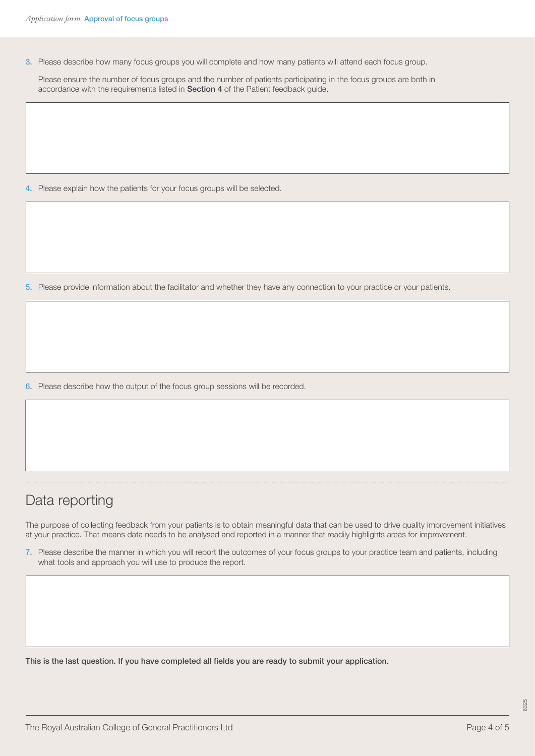3. Please describe how many focus groups you will complete and how many patients will attend each focus group.

 Please ensure the number of focus groups and the number of patients participating in the focus groups are both in accordance with the requirements listed in [Section 4](https://www.racgp.org.au/FSDEDEV/media/documents/Running%20a%20practice/Practice%20standards/5th%20edition/Patient-feedback-guide.pdf#page=29) of the Patient feedback guide.

4. Please explain how the patients for your focus groups will be selected.

5. Please provide information about the facilitator and whether they have any connection to your practice or your patients.

6. Please describe how the output of the focus group sessions will be recorded.

### Data reporting

The purpose of collecting feedback from your patients is to obtain meaningful data that can be used to drive quality improvement initiatives at your practice. That means data needs to be analysed and reported in a manner that readily highlights areas for improvement.

7. Please describe the manner in which you will report the outcomes of your focus groups to your practice team and patients, including what tools and approach you will use to produce the report.

This is the last question. If you have completed all fields you are ready to submit your application.